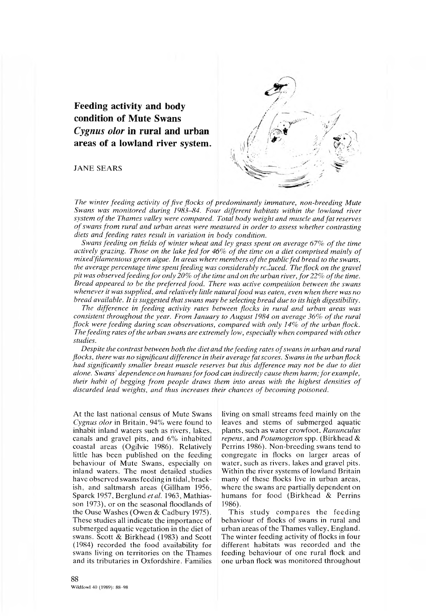**Feeding activity and body condition of Mute Swans** *Cygnus olor* **in rural and urban areas of a lowland river system.**

**JANE SEARS** 



The winter feeding activity of five flocks of predominantly immature, non-breeding Mute *Swans was m onitored during 1983-84. Four different habitats within the lowland river* system of the Thames valley were compared. Total body weight and muscle and fat reserves of swans from rural and urban areas were measured in order to assess whether contrasting *diets and feeding rates result in variation in body condition.*

*Swans feeding on fields of winter wheat and ley grass spent on average 67% of the time* actively grazing. Those on the lake fed for 46% of the time on a diet comprised mainly of *m ixed filamentous green algae. In areas where members o f the public fed bread to the swans, the average percentage time spent feeding was considerably rc.luced. The flock on the gravel pit was observed feeding fo r only 20% o f the time and on the urban river, fo r 22% o f the time. Bread appeared to be the preferred food. There was active competition between the swans* whenever it was supplied, and relatively little natural food was eaten, even when there was no *bread available. It is suggested that swans may be selecting bread due to its high digestibility.*

*The difference in feeding activity rates between flocks in rural and urban areas was consistent throughout the year. From January to August 1984 on average 36% of the rural flock were feeding during scan observations, compared with only 14% of the urban flock.* The feeding rates of the urban swans are extremely low, especially when compared with other *studies.*

*Despite the contrast between both the diet and the feeding rates o f swans in urban and rural flocks, there was no significant difference in their average fat scores. Swans in the urban flock had significantly smaller breast muscle reserves but this difference may not be due to diet alone. Swans' dependence on humans for food can indirectly cause them harm; for example, their habit of begging from people draws them into areas with the highest densities of* discarded lead weights, and thus increases their chances of becoming poisoned.

At the last national census of Mute Swans *Cygnus olor* in Britain, 94% were found to inhabit inland waters such as rivers, lakes, canals and gravel pits, and 6% inhabited coastal areas (Ogilvie 1986). Relatively little has been published on the feeding behaviour of Mute Swans, especially on inland waters. The most detailed studies have observed swans feeding in tidal, brackish, and saltmarsh areas (Gillham 1956, Sparck 1957, Berglund *et al.* 1963, Mathiasson 1973), or on the seasonal floodlands of the Ouse Washes (Owen & Cadbury 1975). These studies all indicate the importance of submerged aquatic vegetation in the diet of swans. Scott & Birkhead (1983) and Scott (1984) recorded the food availability for swans living on territories on the Thames and its tributaries in Oxfordshire. Families

living on small streams feed mainly on the leaves and stems of submerged aquatic plants, such as water crowfoot. *Ranunculus repens,* and *Potamogeton* spp. (Birkhead & Perrins 1986). Non-breeding swans tend to congregate in flocks on larger areas of water, such as rivers, lakes and gravel pits. Within the river systems of lowland Britain many of these flocks live in urban areas, where the swans are partially dependent on humans for food (Birkhead  $\&$  Perrins 1986).

This study compares the feeding behaviour of flocks of swans in rural and urban areas of the Thames valley, England. The winter feeding activity of flocks in four different habitats was recorded and the feeding behaviour of one rural flock and one urban flock was monitored throughout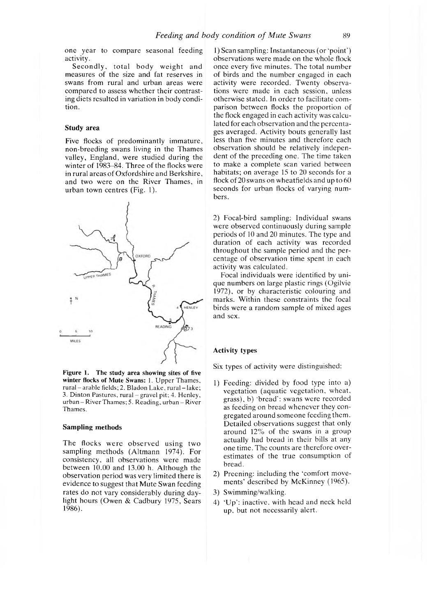one year to compare seasonal feeding activity.

Secondly, total body weight and measures of the size and fat reserves in swans from rural and urban areas were compared to assess whether their contrasting diets resulted in variation in body condition.

## **Study area**

Five flocks of predominantly immature, non-breeding swans living in the Thames valley, England, were studied during the winter of 1983-84. Three of the flocks were in rural areas of Oxfordshire and Berkshire, and two were on the River Thames, in urban town centres (Fig. 1).



**Figure 1. The study area showing sites of five** winter flocks of Mute Swans: 1. Upper Thames, rural - arable fields; 2. Bladon Lake, rural - lake; 3. Dinton Pastures, rural - gravel pit: 4. Henley, urban - River Thames; 5. Reading, urban - River Thames.

## **Sampling methods**

The flocks were observed using two sampling methods (Altmann 1974). For consistency, all observations were made between 10.00 and 13.00 h. Although the observation period was very limited there is evidence to suggest that Mute Swan feeding rates do not vary considerably during daylight hours (Owen & Cadbury 1975, Sears 1986).

1 ) Scan sampling: Instantaneous (or 'point') observations were made on the whole flock once every five minutes. The total number of birds and the num ber engaged in each activity were recorded. Twenty observations were made in each session, unless otherwise stated. In order to facilitate comparison between flocks the proportion of the flock engaged in each activity was calculated for each observation and the percentages averaged. Activity bouts generally last less than five minutes and therefore each observation should be relatively independent of the preceding one. The time taken to make a complete scan varied between habitats; on average 15 to 20 seconds for a flock of 20 swans on wheatfields and up to 60 seconds for urban flocks of varying numbers.

2) Focal-bird sampling: Individual swans were observed continuously during sample periods of 10 and 20 minutes. The type and duration of each activity was recorded throughout the sample period and the percentage of observation time spent in each activity was calculated.

Focal individuals were identified by unique numbers on large plastic rings (Ogilvie 1972), or by characteristic colouring and marks. Within these constraints the focal birds were a random sample of mixed ages and sex.

#### **Activity types**

Six types of activity were distinguished:

- 1) Feeding: divided by food type into a) vegetation (aquatic vegetation, wheat, grass), b) 'bread': swans were recorded as feeding on bread whenever they congregated around someone feeding them. Detailed observations suggest that only around 12% of the swans in a group actually had bread in their bills at any one time. The counts are therefore overestimates of the true consumption of bread.
- 2) Preening: including the 'comfort movements' described by McKinney (1965).
- 3) Swimming/walking.
- 4) 'Up': inactive, with head and neck held up, but not necessarily alert.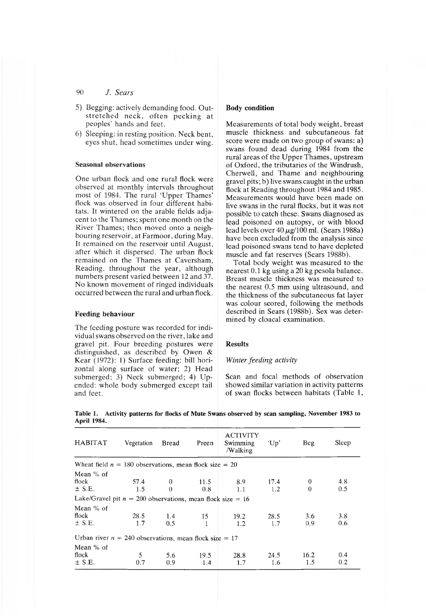- 5) Begging: actively demanding food. Outstretched neck, often pecking at peoples' hands and feet.
- 6) Sleeping: in resting position. Neck bent, eyes shut, head sometimes under wing.

## **Seasonal observations**

One urban flock and one rural flock were observed at monthly intervals throughout most of 1984. The rural 'Upper Thames' flock was observed in four different habitats. It wintered on the arable fields adjacent to the Thames; spent one month on the River Thames; then moved onto a neighbouring reservoir, at Farmoor, during May. It remained on the reservoir until August, after which it dispersed. The urban flock rem ained on the Thames at Caversham, Reading, throughout the year, although numbers present varied between 12 and 37. No known movement of ringed individuals occurred between the rural and urban flock.

## **Feeding behaviour**

The feeding posture was recorded for individual swans observed on the river, lake and gravel pit. Four breeding postures were distinguished, as described by Owen & Kear  $(1972)$ : 1) Surface feeding: bill horizontal along surface of water; 2) Head submerged; 3) Neck submerged; 4) Upended: whole body submerged except tail and feet.

### **Body condition**

Measurements of total body weight, breast muscle thickness and subcutaneous fat score were made on two group of swans: a) swans found dead during 1984 from the rural areas of the Upper Thames, upstream of Oxford, the tributaries of the Windrush, Cherwell, and Thame and neighbouring gravel pits; b) live swans caught in the urban flock at Reading throughout 1984 and 1985. Measurements would have been made on live swans in the rural flocks, but it was not possible to catch these. Swans diagnosed as lead poisoned on autopsy, or with blood lead levels over  $40 \mu g/100$  ml. (Sears 1988a) have been excluded from the analysis since lead poisoned swans tend to have depleted muscle and fat reserves (Sears 1988b).

Total body weight was measured to the nearest 0.1 kg using a 20 kg pesola balance. Breast muscle thickness was measured to the nearest 0.5 mm using ultrasound, and the thickness of the subcutaneous fat layer was colour scored, following the methods described in Sears (1988b). Sex was determined by cloacal examination.

# **Results**

## *Winter feeding activity*

Scan and focal methods of observation showed similar variation in activity patterns of swan flocks between habitats (Table 1,

| <b>HABITAT</b>                                               | Vegetation | <b>Bread</b>  | Preen | <b>ACTIVITY</b><br>Swimming<br>/Walking | 'Up' | Beg      | Sleep |
|--------------------------------------------------------------|------------|---------------|-------|-----------------------------------------|------|----------|-------|
| Wheat field $n = 180$ observations, mean flock size = 20     |            |               |       |                                         |      |          |       |
| Mean $%$ of                                                  |            |               |       |                                         |      |          |       |
| flock                                                        | 57.4       | $\theta$      | 11.5  | 8.9                                     | 17.4 | $\bf{0}$ | 4.8   |
| $\pm$ S.E.                                                   | 1.5        | $\Omega$      | 0.8   | 1.1                                     | 1.2  | $\Omega$ | 0.5   |
| Lake/Gravel pit $n = 200$ observations, mean flock size = 16 |            |               |       |                                         |      |          |       |
| Mean $%$ of                                                  |            |               |       |                                         |      |          |       |
| flock                                                        | 28.5       | $1.4^{\circ}$ | 15    | 19.2                                    | 28.5 | 3.6      | 3.8   |
| $\pm$ S.E.                                                   | 1.7        | 0.5           |       | 1.2                                     | 1.7  | 0.9      | 0.6   |
| Urban river $n = 240$ observations, mean flock size = 17     |            |               |       |                                         |      |          |       |
| Mean % of                                                    |            |               |       |                                         |      |          |       |
| flock                                                        | 5          | 5.6           | 19.5  | 28.8                                    | 24.5 | 16.2     | 0.4   |
| $\pm$ S.E.                                                   | 0.7        | 0.9           | 1.4   | 1.7                                     | 1.6  | 1.5      | 0.2   |
|                                                              |            |               |       |                                         |      |          |       |

**Table 1. Activity patterns for flocks of Mute Swans observed by scan sampling, November 1983 to April 1984.**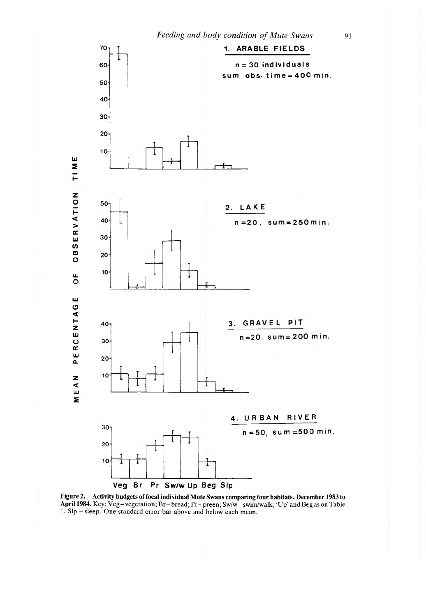

**Figure** *2.* **Activity budgets of focal individual Mute Swans comparing four habitats, December 1983 to** April 1984. Key: Veg-vegetation; Br-bread; Pr-preen; Sw/w-swim/walk; 'Up' and Beg as on Table 1. Sip - sleep. One standard error bar above and below each mean.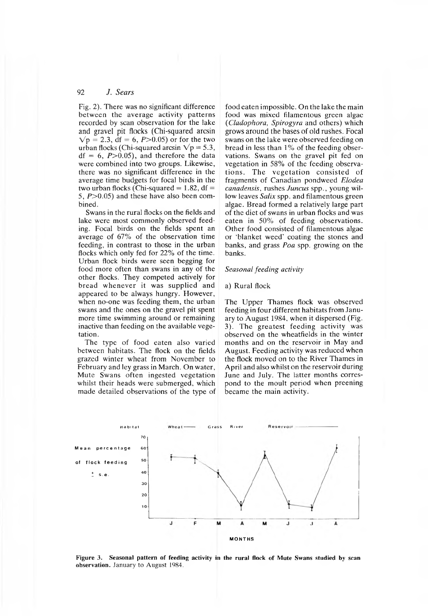Fig. 2). There was no significant difference between the average activity patterns recorded by scan observation for the lake and gravel pit flocks (Chi-squared arcsin  $Vp = 2.3$ , df = 6, P > 0.05) or for the two urban flocks (Chi-squared arcsin  $\sqrt{p} = 5.3$ ,  $df = 6$ ,  $P > 0.05$ , and therefore the data were combined into two groups. Likewise, there was no significant difference in the average time budgets for focal birds in the two urban flocks (Chi-squared  $= 1.82$ , df  $=$ 5,  $P > 0.05$ ) and these have also been combined.

Swans in the rural flocks on the fields and lake were most commonly observed feeding. Focal birds on the fields spent an average of 67% of the observation time feeding, in contrast to those in the urban flocks which only fed for 22% of the time. Urban flock birds were seen begging for food more often than swans in any of the other flocks. They com peted actively for bread w henever it was supplied and appeared to be always hungry. However, when no-one was feeding them, the urban swans and the ones on the gravel pit spent more time swimming around or remaining inactive than feeding on the available vegetation.

The type of food eaten also varied between habitats. The flock on the fields grazed winter wheat from November to February and ley grass in March. On water, Mute Swans often ingested vegetation whilst their heads were submerged, which made detailed observations of the type of

food eaten impossible. On the lake the main food was mixed filamentous green algae (*Cladophora*, *Spirogyra* and others) which grows around the bases of old rushes. Focal swans on the lake were observed feeding on bread in less than 1% of the feeding observations. Swans on the gravel pit fed on vegetation in 58% of the feeding observations. The vegetation consisted of fragments of Canadian pondweed *Elodea canadensis*, rushes *Juncus* spp., young willow leaves *Salix* spp. and filamentous green algae. Bread formed a relatively large part of the diet of swans in urban flocks and was eaten in 50% of feeding observations. Other food consisted of filamentous algae or 'blanket weed' coating the stones and banks, and grass *Poa* spp. growing on the banks.

#### *Seasonal feeding activity*

#### a) Rural flock

The Upper Thames flock was observed feeding in four different habitats from January to August 1984, when it dispersed (Fig. 3). The greatest feeding activity was observed on the wheatfields in the winter months and on the reservoir in May and August. Feeding activity was reduced when the flock moved on to the River Thames in April and also whilst on the reservoir during June and July. The latter months correspond to the moult period when preening became the main activity.



**Figure 3. Seasonal pattern of feeding activity in the rural flock of Mute Swans studied by scan observation.** January to August 1984.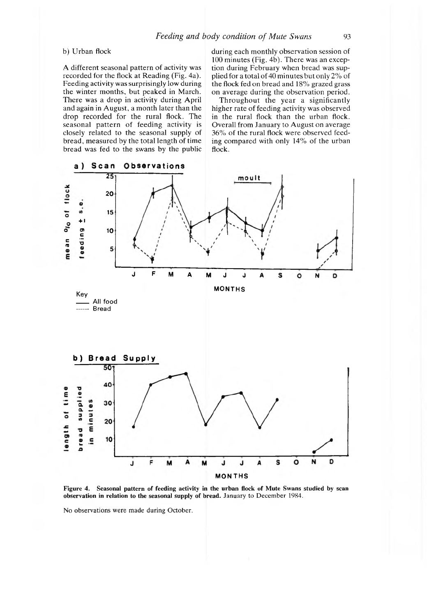# b) Urban flock

A different seasonal pattern of activity was recorded for the flock at Reading (Fig. 4a). Feeding activity was surprisingly low during the winter months, but peaked in March. There was a drop in activity during April and again in August, a month later than the drop recorded for the rural flock. The seasonal pattern of feeding activity is closely related to the seasonal supply of bread, measured by the total length of time bread was fed to the swans by the public

during each monthly observation session of 100 minutes (Fig. 4b). There was an exception during February when bread was supplied for a total of 40 minutes but only  $2\%$  of the flock fed on bread and 18% grazed grass on average during the observation period.

Throughout the year a significantly higher rate of feeding activity was observed in the rural flock than the urban flock. Overall from January to August on average 36% of the rural flock were observed feeding compared with only 14% of the urban flock.



**Figure 4. Seasonal pattern of feeding activity in the urban flock of Mute Swans studied by scan observation in relation to the seasonal supply of bread.** January to December 1984.

No observations were made during October.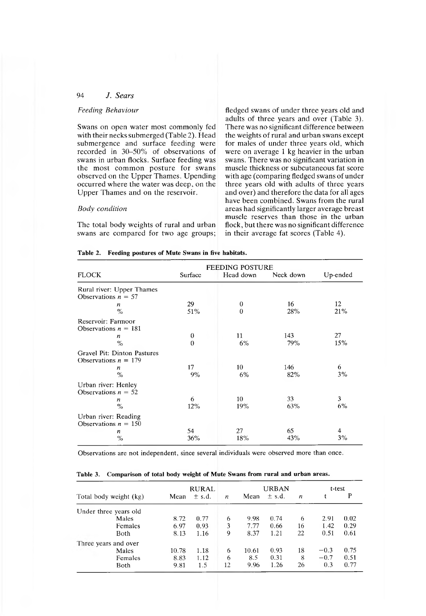## *Feeding Behaviour*

Swans on open water most commonly fed with their necks submerged (Table 2). Head submergence and surface feeding were recorded in 30—50% of observations of swans in urban flocks. Surface feeding was the most common posture for swans observed on the Upper Thames. Upending occurred where the water was deep, on the Upper Thames and on the reservoir.

## *Body condition*

The total body weights of rural and urban swans are compared for two age groups;

fledged swans of under three years old and adults of three years and over (Table 3). There was no significant difference between the weights of rural and urban swans except for males of under three years old, which were on average 1 kg heavier in the urban swans. There was no significant variation in muscle thickness or subcutaneous fat score with age (comparing fledged swans of under three years old with adults of three years and over) and therefore the data for all ages have been combined. Swans from the rural areas had significantly larger average breast muscle reserves than those in the urban flock, but there was no significant difference in their average fat scores (Table 4).

| Table 2. Feeding postures of Mute Swans in five habitats. |  |  |  |  |  |  |  |  |
|-----------------------------------------------------------|--|--|--|--|--|--|--|--|
|-----------------------------------------------------------|--|--|--|--|--|--|--|--|

|                                                       | <b>FEEDING POSTURE</b>       |                              |            |           |
|-------------------------------------------------------|------------------------------|------------------------------|------------|-----------|
| <b>FLOCK</b>                                          | Surface                      | Head down                    | Neck down  | Up-ended  |
| Rural river: Upper Thames<br>Observations $n = 57$    |                              |                              |            |           |
| n<br>$\frac{0}{\alpha}$                               | 29<br>51%                    | $\boldsymbol{0}$<br>$\theta$ | 16<br>28%  | 12<br>21% |
| Reservoir: Farmoor<br>Observations $n = 181$          |                              |                              |            |           |
| n<br>$\%$                                             | $\bf{0}$<br>$\boldsymbol{0}$ | 11<br>6%                     | 143<br>79% | 27<br>15% |
| Gravel Pit: Dinton Pastures<br>Observations $n = 179$ |                              |                              |            |           |
| $\boldsymbol{n}$<br>$\%$                              | 17<br>9%                     | 10<br>6%                     | 146<br>82% | 6<br>3%   |
| Urban river: Henley<br>Observations $n = 52$          |                              |                              |            |           |
| n<br>$\frac{0}{0}$                                    | 6<br>12%                     | 10<br>19%                    | 33<br>63%  | 3<br>6%   |
| Urban river: Reading<br>Observations $n = 150$        |                              |                              |            |           |
| n<br>$\%$                                             | 54<br>36%                    | 27<br>18%                    | 65<br>43%  | 4<br>3%   |

Observations are not independent, since several individuals were observed more than once.

|  | Table 3. Comparison of total body weight of Mute Swans from rural and urban areas. |  |  |  |  |  |  |  |  |  |  |  |  |
|--|------------------------------------------------------------------------------------|--|--|--|--|--|--|--|--|--|--|--|--|
|--|------------------------------------------------------------------------------------|--|--|--|--|--|--|--|--|--|--|--|--|

| Total body weight (kg) |         | RURAL |            |                  |       | <b>URBAN</b> |                  | t-test |      |  |
|------------------------|---------|-------|------------|------------------|-------|--------------|------------------|--------|------|--|
|                        |         | Mean  | $\pm$ s.d. | $\boldsymbol{n}$ | Mean  | $\pm$ s.d.   | $\boldsymbol{n}$ |        | P    |  |
| Under three years old  |         |       |            |                  |       |              |                  |        |      |  |
|                        | Males   | 8.72  | 0.77       | 6                | 9.98  | 0.74         | 6                | 2.91   | 0.02 |  |
|                        | Females | 6.97  | 0.93       | 3                | 7.77  | 0.66         | 16               | 1.42   | 0.29 |  |
|                        | Both    | 8.13  | 1.16       | 9                | 8.37  | 1.21         | 22               | 0.51   | 0.61 |  |
| Three years and over   |         |       |            |                  |       |              |                  |        |      |  |
|                        | Males   | 10.78 | 1.18       | 6                | 10.61 | 0.93         | 18               | $-0.3$ | 0.75 |  |
|                        | Females | 8.83  | 1.12       | 6                | 8.5   | 0.31         | 8                | $-0.7$ | 0.51 |  |
|                        | Both    | 9.81  | 1.5        | 12               | 9.96  | 1.26         | 26               | 0.3    | 0.77 |  |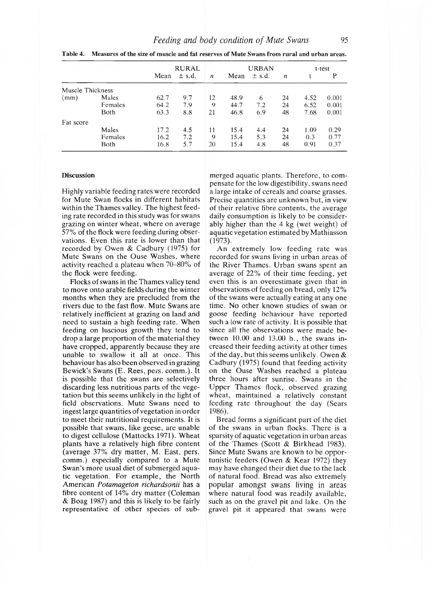|                  |         |      | <b>RURAL</b> |                  |      | <b>URBAN</b> |                  | t-test |       |  |
|------------------|---------|------|--------------|------------------|------|--------------|------------------|--------|-------|--|
|                  |         | Mean | $\pm$ s.d.   | $\boldsymbol{n}$ | Mean | $\pm$ s.d.   | $\boldsymbol{n}$ |        | P     |  |
| Muscle Thickness |         |      |              |                  |      |              |                  |        |       |  |
| (mm)             | Males   | 62.7 | 9.7          | 12               | 48.9 | 6            | 24               | 4.52   | 0.001 |  |
|                  | Females | 64.2 | 7.9          | 9                | 44.7 | 7.2          | 24               | 6.52   | 0.001 |  |
|                  | Both    | 63.3 | 8.8          | 21               | 46.8 | 6.9          | 48               | 7.68   | 0.001 |  |
| Fat score        |         |      |              |                  |      |              |                  |        |       |  |
|                  | Males   | 17.2 | 4.5          | 11               | 15.4 | 4.4          | 24               | 1.09   | 0.29  |  |
|                  | Females | 16.2 | 7.2          | 9                | 15.4 | 5.3          | 24               | 0.3    | 0.77  |  |
|                  | Both    | 16.8 | 5.7          | 20               | 15.4 | 4.8          | 48               | 0.91   | 0.37  |  |

**Table 4. Measures of the size of muscle and fat reserves of Mute Swans from rural and urban areas.**

#### Discussion

Highly variable feeding rates were recorded for Mute Swan flocks in different habitats within the Thames valley. The highest feeding rate recorded in this study was for swans grazing on winter wheat, where on average 57% of the flock were feeding during observations. Even this rate is lower than that recorded by Owen & Cadbury (1975) for Mute Swans on the Ouse Washes, where activity reached a plateau when 70-80% of the flock were feeding.

Flocks of swans in the Thames valley tend to move onto arable fields during the winter months when they are precluded from the rivers due to the fast flow. Mute Swans are relatively inefficient at grazing on land and need to sustain a high feeding rate. When feeding on luscious growth they tend to drop a large proportion of the material they have cropped, apparently because they are unable to swallow it all at once. This behaviour has also been observed in grazing Bewick's Swans (E. Rees, pers. comm.). It is possible that the swans are selectively discarding less nutritious parts of the vegetation but this seems unlikely in the light of field observations. Mute Swans need to ingest large quantities of vegetation in order to meet their nutritional requirements. It is possible that swans, like geese, are unable to digest cellulose (Mattocks 1971). Wheat plants have a relatively high fibre content (average 37% dry matter, M. East, pers. comm.) especially compared to a Mute Swan's more usual diet of submerged aquatic vegetation. For example, the North American *Potamageton richardsonii* has a fibre content of  $14\%$  dry matter (Coleman & Boag 1987) and this is likely to be fairly representative of other species of submerged aquatic plants. Therefore, to compensate for the low digestibility, swans need a large intake of cereals and coarse grasses. Precise quantities are unknown but, in view of their relative fibre contents, the average daily consumption is likely to be considerably higher than the 4 kg (wet weight) of aquatic vegetation estimated by Mathiasson (1973).

An extremely low feeding rate was recorded for swans living in urban areas of the River Thames. Urban swans spent an average of 22% of their time feeding, yet even this is an overestimate given that in observations of feeding on bread, only 12% of the swans were actually eating at any one time. No other known studies of swan or goose feeding behaviour have reported such a low rate of activity. It is possible that since all the observations were made between 10.00 and 13.00 h., the swans increased their feeding activity at other times of the day, but this seems unlikely. Owen & Cadbury (1975) found that feeding activity on the Ouse Washes reached a plateau three hours after sunrise. Swans in the Upper Thames flock, observed grazing wheat, maintained a relatively constant feeding rate throughout the day (Sears 1986).

Bread forms a significant part of the diet of the swans in urban flocks. There is a sparsity of aquatic vegetation in urban areas of the Thames (Scott & Birkhead 1983). Since Mute Swans are known to be opportunistic feeders (Owen  $&$  Kear 1972) they may have changed their diet due to the lack of natural food. Bread was also extremely popular amongst swans living in areas where natural food was readily available, such as on the gravel pit and lake. On the gravel pit it appeared that swans were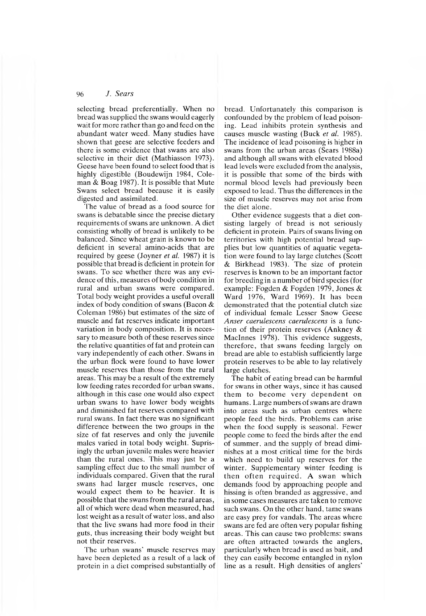selecting bread preferentially. When no bread was supplied the swans would eagerly wait for more rather than go and feed on the abundant water weed. Many studies have shown that geese are selective feeders and there is some evidence that swans are also selective in their diet (Mathiasson 1973). Geese have been found to select food that is highly digestible (Boudewijn 1984, Coleman & Boag 1987). It is possible that Mute Swans select bread because it is easily digested and assimilated.

The value of bread as a food source for swans is debatable since the precise dietary requirements of swans are unknown. A diet consisting wholly of bread is unlikely to be balanced. Since wheat grain is known to be deficient in several amino-acids that are required by geese (Joyner *et al.* 1987) it is possible that bread is deficient in protein for swans. To see whether there was any evidence of this, measures of body condition in rural and urban swans were compared. Total body weight provides a useful overall index of body condition of swans (Bacon & Coleman 1986) but estimates of the size of muscle and fat reserves indicate important variation in body composition. It is necessary to measure both of these reserves since the relative quantities of fat and protein can vary independently of each other. Swans in the urban flock were found to have lower muscle reserves than those from the rural areas. This may be a result of the extremely low feeding rates recorded for urban swans, although in this case one would also expect urban swans to have lower body weights and diminished fat reserves compared with rural swans. In fact there was no significant difference between the two groups in the size of fat reserves and only the juvenile males varied in total body weight. Suprisingly the urban juvenile males were heavier than the rural ones. This may just be a sampling effect due to the small number of individuals compared. Given that the rural swans had larger muscle reserves, one would expect them to be heavier. It is possible that the swans from the rural areas, all of which were dead when measured, had lost weight as a result of water loss, and also that the live swans had more food in their guts, thus increasing their body weight but not their reserves.

The urban swans' muscle reserves may have been depleted as a result of a lack of protein in a diet comprised substantially of

bread. Unfortunately this comparison is confounded by the problem of lead poisoning. Lead inhibits protein synthesis and causes muscle wasting (Buck *et al.* 1985). The incidence of lead poisoning is higher in swans from the urban areas (Sears 1988a) and although all swans with elevated blood lead levels were excluded from the analysis, it is possible that some of the birds with normal blood levels had previously been exposed to lead. Thus the differences in the size of muscle reserves may not arise from the diet alone.

Other evidence suggests that a diet consisting largely of bread is not seriously deficient in protein. Pairs of swans living on territories with high potential bread supplies but low quantities of aquatic vegetation were found to lay large clutches (Scott & Birkhead 1983). The size of protein reserves is known to be an important factor for breeding in a num ber of bird species (for example: Fogden & Fogden 1979, Jones & Ward 1976, Ward 1969). It has been demonstrated that the potential clutch size of individual female Lesser Snow Geese *Anser caerulescens caerulescens* is a function of their protein reserves (Ankney & MacInnes 1978). This evidence suggests, therefore, that swans feeding largely on bread are able to establish sufficiently large protein reserves to be able to lay relatively large clutches.

The habit of eating bread can be harmful for swans in other ways, since it has caused them to become very dependent on humans. Large numbers of swans are drawn into areas such as urban centres where people feed the birds. Problems can arise when the food supply is seasonal. Fewer people come to feed the birds after the end of summer, and the supply of bread diminishes at a most critical time for the birds which need to build up reserves for the winter. Supplementary winter feeding is then often required. A swan which demands food by approaching people and hissing is often branded as aggressive, and in some cases measures are taken to remove such swans. On the other hand, tame swans are easy prey for vandals. The areas where swans are fed are often very popular fishing areas. This can cause two problems: swans are often attracted towards the anglers, particularly when bread is used as bait, and they can easily become entangled in nylon line as a result. High densities of anglers'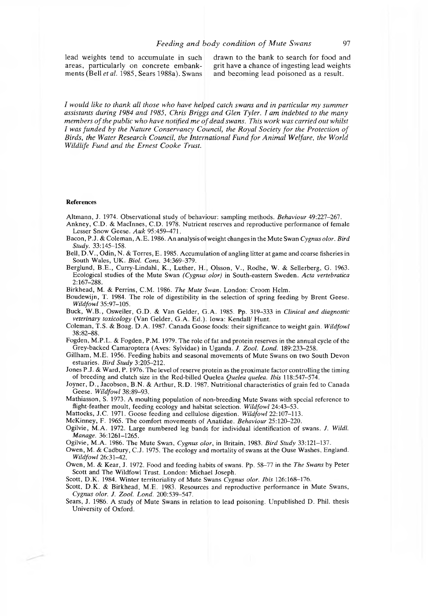lead weights tend to accumulate in such drawn to the bank to search for food and areas, particularly on concrete embank- grit have a chance of ingesting lead weights areas, particularly on concrete embank-<br>ments (Bell et al. 1985, Sears 1988a). Swans and becoming lead poisoned as a result. ments (Bell *et al.* 1985, Sears 1988a). Swans

*I* would like to thank all those who have helped catch swans and in particular my summer *assistants during 1984 and 1985, Chris Briggs and Glen Tyler. I am indebted to the many* members of the public who have notified me of dead swans. This work was carried out whilst *I* was funded by the Nature Conservancy Council, the Royal Society for the Protection of *Birds, the Water Research Council, the International Fund for Animal Welfare, the World Wildlife Fund and the Ernest Cooke Trust.*

#### References

A ltm ann, J. 1974. Observational study of behaviour: sampling m ethods. *Behaviour* 49:227-267.

- Ankney, C.D. & MacInnes, C.D. 1978. Nutrient reserves and reproductive performance of female Lesser Snow Geese. Auk 95:459-471.
- Bacon, P.J. & Coleman, A.E. 1986. An analysis of weight changes in the Mute Swan *Cygnus olor. Bird Study.* 33:145-158.

Bell, D.V., Odin, N. & Torres, E. 1985. Accumulation of angling litter at game and coarse fisheries in South Wales, UK. *Biol. Cons.* 34:369-379.

Berglund, B.E., Curry-Lindahl, K., Luther, H., Olsson, V., Rodhe, W. & Sellerberg, G. 1963. Ecological studies of the M ute Swan *(Cygnus olor)* in South-eastern Sweden. *Acta vertebratica* 2:167-288.

Birkhead, M. & Perrins, C.M . 1986. *The Mute Swan.* London: Croom Helm.

Boudewijn, T. 1984. The role of digestibility in the selection of spring feeding by Brent Geese. *W ildfowl* 35:97-105.

Buck, W .B ., Osweiler, G .D . & Van G elder, G .A. 1985. Pp. 319-333 in *Clinical and diagnostic* veterinary toxicology (Van Gelder, G.A. Ed.). Iowa: Kendall/ Hunt.

Colem an, T.S. & Boag. D .A . 1987. Canada Goose foods: their significance to weight gain. *W ildfowl* 38:82-88.

Fogden, M.P.L. & Fogden, P.M. 1979. The role of fat and protein reserves in the annual cycle of the Grey-backed Camaroptera (Aves: Sylvidae) in Uganda. *J. Zool. Lond.* 189:233-258.

Gillham, M.E. 1956. Feeding habits and seasonal movements of Mute Swans on two South Devon estuaries. *Bird Study* 3:205-212.

Jones P.J. & Ward, P. 1976. The level of reserve protein as the proximate factor controlling the timing of breeding and clutch size in the Red-billed Q uelea *Quelea quelea. Ibis* 118:547-574.

Joyner, D., Jacobson, B.N. & Arthur, R.D. 1987. Nutritional characteristics of grain fed to Canada Geese. *W ildfowl* 38:89-93.

Mathiasson, S. 1973. A moulting population of non-breeding Mute Swans with special reference to flight-feather moult, feeding ecology and habitat selection. *Wildfowl* 24:43–53.

Mattocks, J.C. 1971. Goose feeding and cellulose digestion. *Wildfowl* 22:107-113.

McKinney, F. 1965. The comfort movements of Anatidae. *Behaviour* 25:120–220.

Ogilvie, M .A . 1972. Large num bered leg bands for individual identification of swans. *J. Wildl. Manage.* 36:1261-1265.

Ogilvie, M.A. 1986. The Mute Swan, *Cygnus olor*, in Britain, 1983. *Bird Study* 33:121-137.

Owen, M. & Cadbury, C.J. 1975. The ecology and mortality of swans at the Ouse Washes, England. *Wildfowl* 26:31-42.

Owen, M. & Kear, J. 1972. Food and feeding habits of swans. Pp. 58-77 in the *The Swans* by Peter Scott and The Wildfowl Trust. London: Michael Joseph.

Scott, D.K. 1984. Winter territoriality of Mute Swans *Cygnus olor. Ibis* 126:168-176.

Scott, D.K. & Birkhead, M.E. 1983. Resources and reproductive performance in Mute Swans, *Cygnus olor. J. Zool. Lond.* 200:539-547.

Sears, J. 1986. A study of Mute Swans in relation to lead poisoning. Unpublished D. Phil. thesis University of Oxford.